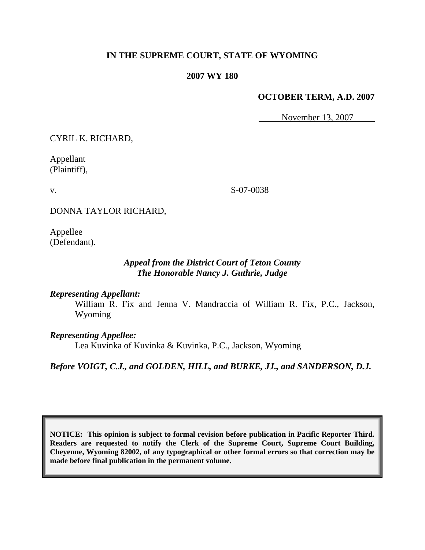### **IN THE SUPREME COURT, STATE OF WYOMING**

#### **2007 WY 180**

#### **OCTOBER TERM, A.D. 2007**

November 13, 2007

CYRIL K. RICHARD,

Appellant (Plaintiff),

v.

S-07-0038

DONNA TAYLOR RICHARD,

Appellee (Defendant).

### *Appeal from the District Court of Teton County The Honorable Nancy J. Guthrie, Judge*

#### *Representing Appellant:*

William R. Fix and Jenna V. Mandraccia of William R. Fix, P.C., Jackson, Wyoming

#### *Representing Appellee:*

Lea Kuvinka of Kuvinka & Kuvinka, P.C., Jackson, Wyoming

*Before VOIGT, C.J., and GOLDEN, HILL, and BURKE, JJ., and SANDERSON, D.J.*

**NOTICE: This opinion is subject to formal revision before publication in Pacific Reporter Third. Readers are requested to notify the Clerk of the Supreme Court, Supreme Court Building, Cheyenne, Wyoming 82002, of any typographical or other formal errors so that correction may be made before final publication in the permanent volume.**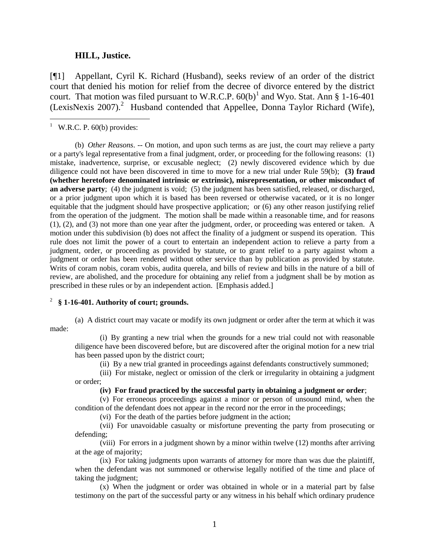#### **HILL, Justice.**

[¶1] Appellant, Cyril K. Richard (Husband), seeks review of an order of the district court that denied his motion for relief from the decree of divorce entered by the district court. That motion was filed pursuant to W.R.C.P.  $60(b)^1$  and Wyo. Stat. Ann § 1-16-401 (LexisNexis 2007).<sup>2</sup> Husband contended that Appellee, Donna Taylor Richard (Wife),

<sup>1</sup> W.R.C. P. 60(b) provides:

l

(b) *Other Reasons*. -- On motion, and upon such terms as are just, the court may relieve a party or a party's legal representative from a final judgment, order, or proceeding for the following reasons: (1) mistake, inadvertence, surprise, or excusable neglect; (2) newly discovered evidence which by due diligence could not have been discovered in time to move for a new trial under Rule 59(b); **(3) fraud (whether heretofore denominated intrinsic or extrinsic), misrepresentation, or other misconduct of an adverse party**; (4) the judgment is void; (5) the judgment has been satisfied, released, or discharged, or a prior judgment upon which it is based has been reversed or otherwise vacated, or it is no longer equitable that the judgment should have prospective application; or (6) any other reason justifying relief from the operation of the judgment. The motion shall be made within a reasonable time, and for reasons (1), (2), and (3) not more than one year after the judgment, order, or proceeding was entered or taken. A motion under this subdivision (b) does not affect the finality of a judgment or suspend its operation. This rule does not limit the power of a court to entertain an independent action to relieve a party from a judgment, order, or proceeding as provided by statute, or to grant relief to a party against whom a judgment or order has been rendered without other service than by publication as provided by statute. Writs of coram nobis, coram vobis, audita querela, and bills of review and bills in the nature of a bill of review, are abolished, and the procedure for obtaining any relief from a judgment shall be by motion as prescribed in these rules or by an independent action. [Emphasis added.]

#### 2 **§ 1-16-401. Authority of court; grounds.**

(a) A district court may vacate or modify its own judgment or order after the term at which it was made:

(i) By granting a new trial when the grounds for a new trial could not with reasonable diligence have been discovered before, but are discovered after the original motion for a new trial has been passed upon by the district court;

(ii) By a new trial granted in proceedings against defendants constructively summoned;

(iii) For mistake, neglect or omission of the clerk or irregularity in obtaining a judgment or order;

**(iv) For fraud practiced by the successful party in obtaining a judgment or order**;

(v) For erroneous proceedings against a minor or person of unsound mind, when the condition of the defendant does not appear in the record nor the error in the proceedings;

(vi) For the death of the parties before judgment in the action;

(vii) For unavoidable casualty or misfortune preventing the party from prosecuting or defending;

(viii) For errors in a judgment shown by a minor within twelve (12) months after arriving at the age of majority;

(ix) For taking judgments upon warrants of attorney for more than was due the plaintiff, when the defendant was not summoned or otherwise legally notified of the time and place of taking the judgment;

(x) When the judgment or order was obtained in whole or in a material part by false testimony on the part of the successful party or any witness in his behalf which ordinary prudence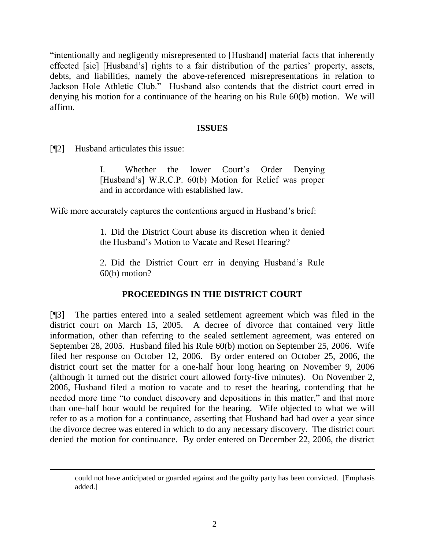"intentionally and negligently misrepresented to [Husband] material facts that inherently effected [sic] [Husband's] rights to a fair distribution of the parties' property, assets, debts, and liabilities, namely the above-referenced misrepresentations in relation to Jackson Hole Athletic Club." Husband also contends that the district court erred in denying his motion for a continuance of the hearing on his Rule 60(b) motion. We will affirm.

#### **ISSUES**

[¶2] Husband articulates this issue:

I. Whether the lower Court's Order Denying [Husband's] W.R.C.P. 60(b) Motion for Relief was proper and in accordance with established law.

Wife more accurately captures the contentions argued in Husband's brief:

1. Did the District Court abuse its discretion when it denied the Husband's Motion to Vacate and Reset Hearing?

2. Did the District Court err in denying Husband's Rule 60(b) motion?

# **PROCEEDINGS IN THE DISTRICT COURT**

[¶3] The parties entered into a sealed settlement agreement which was filed in the district court on March 15, 2005. A decree of divorce that contained very little information, other than referring to the sealed settlement agreement, was entered on September 28, 2005. Husband filed his Rule 60(b) motion on September 25, 2006. Wife filed her response on October 12, 2006. By order entered on October 25, 2006, the district court set the matter for a one-half hour long hearing on November 9, 2006 (although it turned out the district court allowed forty-five minutes). On November 2, 2006, Husband filed a motion to vacate and to reset the hearing, contending that he needed more time "to conduct discovery and depositions in this matter," and that more than one-half hour would be required for the hearing. Wife objected to what we will refer to as a motion for a continuance, asserting that Husband had had over a year since the divorce decree was entered in which to do any necessary discovery. The district court denied the motion for continuance. By order entered on December 22, 2006, the district

could not have anticipated or guarded against and the guilty party has been convicted. [Emphasis added.]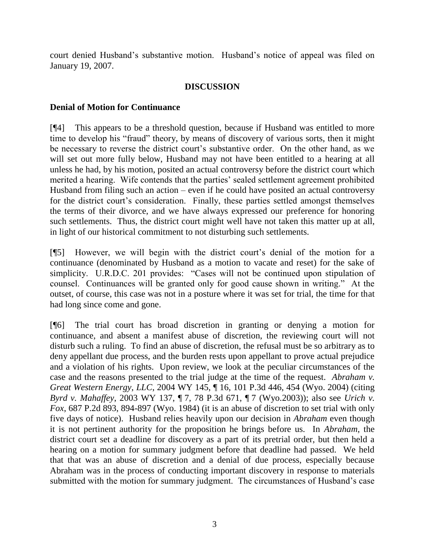court denied Husband's substantive motion. Husband's notice of appeal was filed on January 19, 2007.

## **DISCUSSION**

### **Denial of Motion for Continuance**

[¶4] This appears to be a threshold question, because if Husband was entitled to more time to develop his "fraud" theory, by means of discovery of various sorts, then it might be necessary to reverse the district court's substantive order. On the other hand, as we will set out more fully below, Husband may not have been entitled to a hearing at all unless he had, by his motion, posited an actual controversy before the district court which merited a hearing. Wife contends that the parties' sealed settlement agreement prohibited Husband from filing such an action – even if he could have posited an actual controversy for the district court's consideration. Finally, these parties settled amongst themselves the terms of their divorce, and we have always expressed our preference for honoring such settlements. Thus, the district court might well have not taken this matter up at all, in light of our historical commitment to not disturbing such settlements.

[¶5] However, we will begin with the district court's denial of the motion for a continuance (denominated by Husband as a motion to vacate and reset) for the sake of simplicity. U.R.D.C. 201 provides: "Cases will not be continued upon stipulation of counsel. Continuances will be granted only for good cause shown in writing." At the outset, of course, this case was not in a posture where it was set for trial, the time for that had long since come and gone.

[¶6] The trial court has broad discretion in granting or denying a motion for continuance, and absent a manifest abuse of discretion, the reviewing court will not disturb such a ruling. To find an abuse of discretion, the refusal must be so arbitrary as to deny appellant due process, and the burden rests upon appellant to prove actual prejudice and a violation of his rights. Upon review, we look at the peculiar circumstances of the case and the reasons presented to the trial judge at the time of the request. *Abraham v. Great Western Energy*, *LLC*, 2004 WY 145, ¶ 16, 101 P.3d 446, 454 (Wyo. 2004) (citing *Byrd v. Mahaffey*, 2003 WY 137, ¶ 7, 78 P.3d 671, ¶ 7 (Wyo.2003)); also see *Urich v. Fox*, 687 P.2d 893, 894-897 (Wyo. 1984) (it is an abuse of discretion to set trial with only five days of notice). Husband relies heavily upon our decision in *Abraham* even though it is not pertinent authority for the proposition he brings before us. In *Abraham*, the district court set a deadline for discovery as a part of its pretrial order, but then held a hearing on a motion for summary judgment before that deadline had passed. We held that that was an abuse of discretion and a denial of due process, especially because Abraham was in the process of conducting important discovery in response to materials submitted with the motion for summary judgment. The circumstances of Husband's case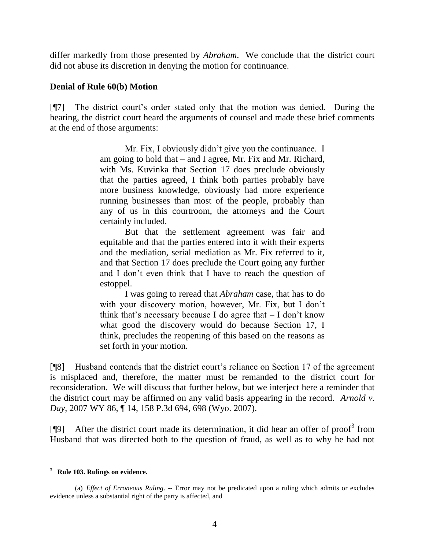differ markedly from those presented by *Abraham*. We conclude that the district court did not abuse its discretion in denying the motion for continuance.

### **Denial of Rule 60(b) Motion**

[¶7] The district court's order stated only that the motion was denied. During the hearing, the district court heard the arguments of counsel and made these brief comments at the end of those arguments:

> Mr. Fix, I obviously didn't give you the continuance. I am going to hold that – and I agree, Mr. Fix and Mr. Richard, with Ms. Kuvinka that Section 17 does preclude obviously that the parties agreed, I think both parties probably have more business knowledge, obviously had more experience running businesses than most of the people, probably than any of us in this courtroom, the attorneys and the Court certainly included.

> But that the settlement agreement was fair and equitable and that the parties entered into it with their experts and the mediation, serial mediation as Mr. Fix referred to it, and that Section 17 does preclude the Court going any further and I don't even think that I have to reach the question of estoppel.

> I was going to reread that *Abraham* case, that has to do with your discovery motion, however, Mr. Fix, but I don't think that's necessary because I do agree that  $-$  I don't know what good the discovery would do because Section 17, I think, precludes the reopening of this based on the reasons as set forth in your motion.

[¶8] Husband contends that the district court's reliance on Section 17 of the agreement is misplaced and, therefore, the matter must be remanded to the district court for reconsideration. We will discuss that further below, but we interject here a reminder that the district court may be affirmed on any valid basis appearing in the record. *Arnold v. Day*, 2007 WY 86, ¶ 14, 158 P.3d 694, 698 (Wyo. 2007).

[ $\llbracket 9$ ] After the district court made its determination, it did hear an offer of proof<sup>3</sup> from Husband that was directed both to the question of fraud, as well as to why he had not

l 3 **Rule 103. Rulings on evidence.**

<sup>(</sup>a) *Effect of Erroneous Ruling*. -- Error may not be predicated upon a ruling which admits or excludes evidence unless a substantial right of the party is affected, and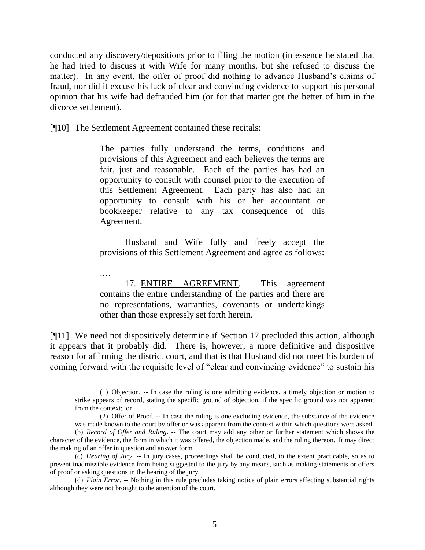conducted any discovery/depositions prior to filing the motion (in essence he stated that he had tried to discuss it with Wife for many months, but she refused to discuss the matter). In any event, the offer of proof did nothing to advance Husband's claims of fraud, nor did it excuse his lack of clear and convincing evidence to support his personal opinion that his wife had defrauded him (or for that matter got the better of him in the divorce settlement).

[¶10] The Settlement Agreement contained these recitals:

 $\overline{a}$ 

The parties fully understand the terms, conditions and provisions of this Agreement and each believes the terms are fair, just and reasonable. Each of the parties has had an opportunity to consult with counsel prior to the execution of this Settlement Agreement. Each party has also had an opportunity to consult with his or her accountant or bookkeeper relative to any tax consequence of this Agreement.

Husband and Wife fully and freely accept the provisions of this Settlement Agreement and agree as follows:

.… 17. ENTIRE AGREEMENT. This agreement contains the entire understanding of the parties and there are no representations, warranties, covenants or undertakings other than those expressly set forth herein.

[¶11] We need not dispositively determine if Section 17 precluded this action, although it appears that it probably did. There is, however, a more definitive and dispositive reason for affirming the district court, and that is that Husband did not meet his burden of coming forward with the requisite level of "clear and convincing evidence" to sustain his

<sup>(1)</sup> Objection. -- In case the ruling is one admitting evidence, a timely objection or motion to strike appears of record, stating the specific ground of objection, if the specific ground was not apparent from the context; or

<sup>(2)</sup> Offer of Proof. -- In case the ruling is one excluding evidence, the substance of the evidence was made known to the court by offer or was apparent from the context within which questions were asked.

<sup>(</sup>b) *Record of Offer and Ruling*. -- The court may add any other or further statement which shows the character of the evidence, the form in which it was offered, the objection made, and the ruling thereon. It may direct the making of an offer in question and answer form.

<sup>(</sup>c) *Hearing of Jury*. -- In jury cases, proceedings shall be conducted, to the extent practicable, so as to prevent inadmissible evidence from being suggested to the jury by any means, such as making statements or offers of proof or asking questions in the hearing of the jury.

<sup>(</sup>d) *Plain Error*. -- Nothing in this rule precludes taking notice of plain errors affecting substantial rights although they were not brought to the attention of the court.